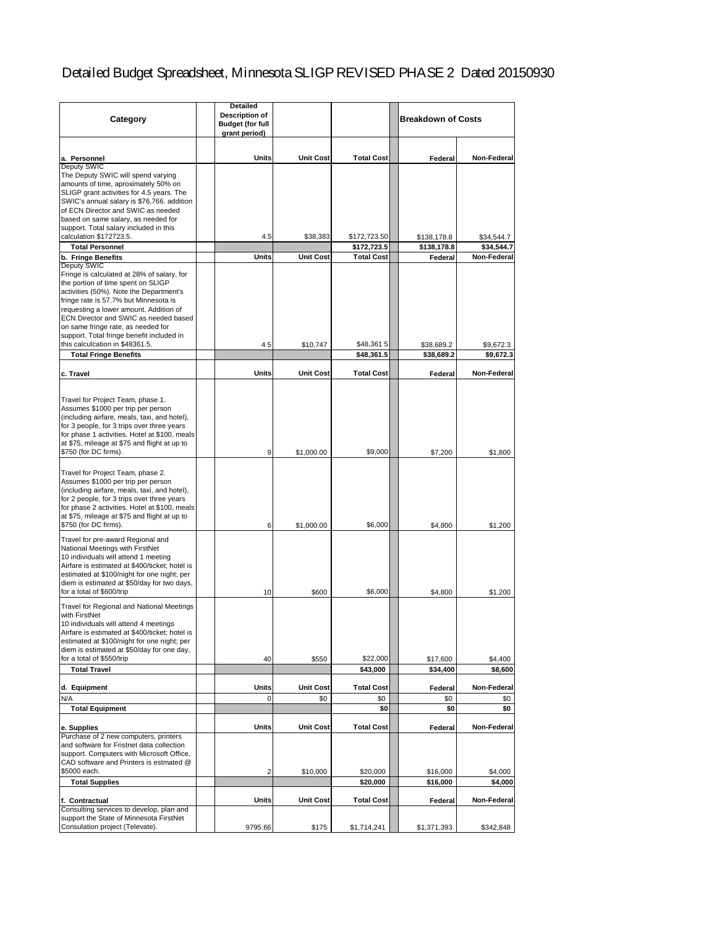# Detailed Budget Spreadsheet, Minnesota SLIGP REVISED PHASE 2 Dated 20150930

| Category                                                                                                                                                                                                                                                                                                                                                                                            | <b>Detailed</b><br><b>Description of</b><br><b>Budget (for full</b><br>grant period) |                              |                                  | <b>Breakdown of Costs</b> |                           |
|-----------------------------------------------------------------------------------------------------------------------------------------------------------------------------------------------------------------------------------------------------------------------------------------------------------------------------------------------------------------------------------------------------|--------------------------------------------------------------------------------------|------------------------------|----------------------------------|---------------------------|---------------------------|
| a. Personnel                                                                                                                                                                                                                                                                                                                                                                                        | Units                                                                                | <b>Unit Cost</b>             | <b>Total Cost</b>                | Federal                   | Non-Federal               |
| Deputy SWIC<br>The Deputy SWIC will spend varying<br>amounts of time, aproximately 50% on<br>SLIGP grant activities for 4.5 years. The<br>SWIC's annual salary is \$76,766. addition<br>of ECN Director and SWIC as needed<br>based on same salary, as needed for<br>support. Total salary included in this                                                                                         |                                                                                      |                              |                                  |                           |                           |
| calculation \$172723.5.                                                                                                                                                                                                                                                                                                                                                                             | 4.5                                                                                  | \$38,383                     | \$172,723.50                     | \$138,178.8               | \$34,544.7                |
| <b>Total Personnel</b><br>b. Fringe Benefits                                                                                                                                                                                                                                                                                                                                                        | Units                                                                                | <b>Unit Cost</b>             | \$172,723.5<br><b>Total Cost</b> | \$138,178.8<br>Federal    | \$34.544.7<br>Non-Federal |
| <b>Deputy SWIC</b><br>Fringe is calculated at 28% of salary, for<br>the portion of time spent on SLIGP<br>activities (50%). Note the Department's<br>fringe rate is 57.7% but Minnesota is<br>requesting a lower amount. Addition of<br>ECN Director and SWIC as needed based<br>on same fringe rate, as needed for<br>support. Total fringe benefit included in<br>this calculcation in \$48361.5. | 45                                                                                   | \$10.747                     | \$48,3615                        | \$38,689.2                | \$9,672.3                 |
| <b>Total Fringe Benefits</b>                                                                                                                                                                                                                                                                                                                                                                        |                                                                                      |                              | \$48.361.5                       | \$38,689.2                | \$9.672.3                 |
| c. Travel                                                                                                                                                                                                                                                                                                                                                                                           | <b>Units</b>                                                                         | <b>Unit Cost</b>             | <b>Total Cost</b>                | Federal                   | Non-Federal               |
| Travel for Project Team, phase 1.<br>Assumes \$1000 per trip per person<br>(including airfare, meals, taxi, and hotel),<br>for 3 people, for 3 trips over three years<br>for phase 1 activities. Hotel at \$100, meals<br>at \$75, mileage at \$75 and flight at up to<br>\$750 (for DC firms).                                                                                                     | 9                                                                                    | \$1,000.00                   | \$9,000                          | \$7,200                   | \$1,800                   |
| Travel for Project Team, phase 2.<br>Assumes \$1000 per trip per person<br>(including airfare, meals, taxi, and hotel),<br>for 2 people, for 3 trips over three years<br>for phase 2 activities. Hotel at \$100, meals<br>at \$75, mileage at \$75 and flight at up to<br>\$750 (for DC firms).                                                                                                     | 6                                                                                    | \$1,000.00                   | \$6,000                          | \$4,800                   | \$1,200                   |
| Travel for pre-award Regional and<br>National Meetings with FirstNet<br>10 individuals will attend 1 meeting<br>Airfare is estimated at \$400/ticket; hotel is<br>estimated at \$100/night for one night; per<br>diem is estimated at \$50/day for two days,<br>for a total of \$600/trip                                                                                                           | 10                                                                                   | \$600                        | \$6,000                          | \$4,800                   | \$1,200                   |
| Travel for Regional and National Meetings<br>with FirstNet<br>10 individuals will attend 4 meetings<br>Airfare is estimated at \$400/ticket; hotel is<br>estimated at \$100/night for one night; per<br>diem is estimated at \$50/day for one day,<br>for a total of \$550/trip<br><b>Total Travel</b>                                                                                              | 40                                                                                   | \$550                        | \$22,000<br>\$43,000             | \$17,600<br>\$34,400      | \$4,400<br>\$8,600        |
|                                                                                                                                                                                                                                                                                                                                                                                                     |                                                                                      |                              |                                  |                           |                           |
| d. Equipment<br>N/A                                                                                                                                                                                                                                                                                                                                                                                 | Units<br>$\mathbf 0$                                                                 | <b>Unit Cost</b><br>\$0      | <b>Total Cost</b><br>\$0         | Federal<br>\$0            | Non-Federal<br>\$0        |
| <b>Total Equipment</b>                                                                                                                                                                                                                                                                                                                                                                              |                                                                                      |                              | \$0                              | \$0                       | \$0                       |
| e. Supplies<br>Purchase of 2 new computers, printers<br>and software for Fristnet data collection<br>support. Computers with Microsoft Office,<br>CAD software and Printers is estmated @<br>\$5000 each.                                                                                                                                                                                           | Units<br>2                                                                           | <b>Unit Cost</b><br>\$10,000 | <b>Total Cost</b><br>\$20,000    | Federal<br>\$16,000       | Non-Federal<br>\$4,000    |
| <b>Total Supplies</b>                                                                                                                                                                                                                                                                                                                                                                               |                                                                                      |                              | \$20,000                         | \$16,000                  | \$4,000                   |
| f. Contractual                                                                                                                                                                                                                                                                                                                                                                                      | Units                                                                                | <b>Unit Cost</b>             | <b>Total Cost</b>                | Federal                   | Non-Federal               |
| Consulting services to develop, plan and<br>support the State of Minnesota FirstNet<br>Consulation project (Televate).                                                                                                                                                                                                                                                                              | 9795.66                                                                              | \$175                        | \$1,714,241                      | \$1,371,393               | \$342,848                 |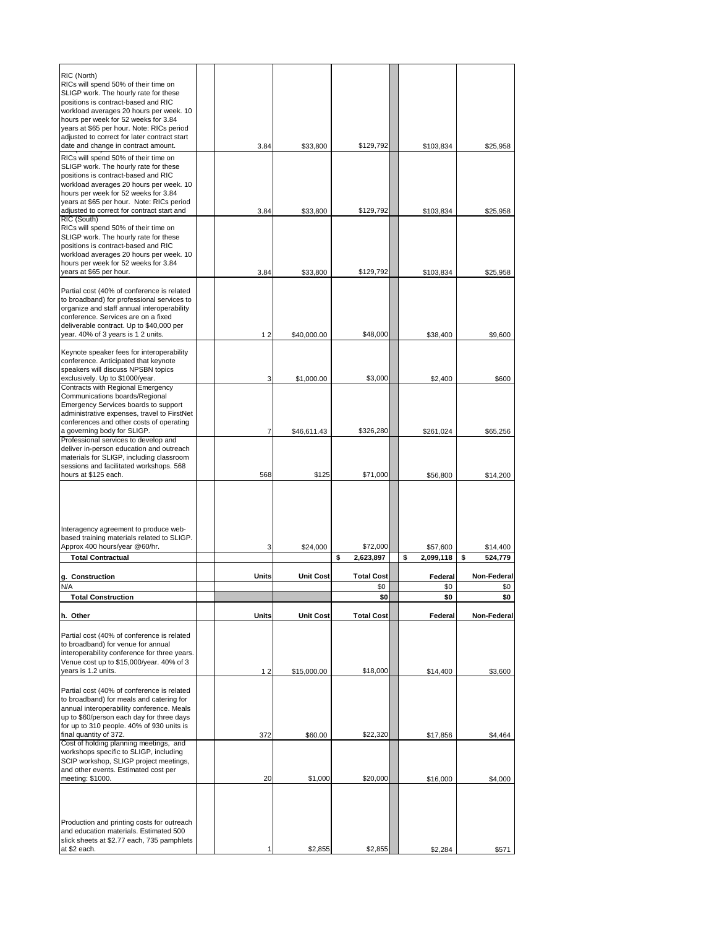| RIC (North)                                                                               |       |                  |                   |                 |               |
|-------------------------------------------------------------------------------------------|-------|------------------|-------------------|-----------------|---------------|
| RICs will spend 50% of their time on                                                      |       |                  |                   |                 |               |
| SLIGP work. The hourly rate for these                                                     |       |                  |                   |                 |               |
| positions is contract-based and RIC<br>workload averages 20 hours per week. 10            |       |                  |                   |                 |               |
| hours per week for 52 weeks for 3.84                                                      |       |                  |                   |                 |               |
| years at \$65 per hour. Note: RICs period<br>adjusted to correct for later contract start |       |                  |                   |                 |               |
| date and change in contract amount.                                                       | 3.84  | \$33,800         | \$129,792         | \$103,834       | \$25,958      |
| RICs will spend 50% of their time on                                                      |       |                  |                   |                 |               |
| SLIGP work. The hourly rate for these                                                     |       |                  |                   |                 |               |
| positions is contract-based and RIC                                                       |       |                  |                   |                 |               |
| workload averages 20 hours per week. 10<br>hours per week for 52 weeks for 3.84           |       |                  |                   |                 |               |
| years at \$65 per hour. Note: RICs period                                                 |       |                  |                   |                 |               |
| adjusted to correct for contract start and                                                | 3.84  | \$33,800         | \$129,792         | \$103,834       | \$25,958      |
| RIC (South)<br>RICs will spend 50% of their time on                                       |       |                  |                   |                 |               |
| SLIGP work. The hourly rate for these                                                     |       |                  |                   |                 |               |
| positions is contract-based and RIC                                                       |       |                  |                   |                 |               |
| workload averages 20 hours per week. 10<br>hours per week for 52 weeks for 3.84           |       |                  |                   |                 |               |
| years at \$65 per hour.                                                                   | 3.84  | \$33,800         | \$129,792         | \$103,834       | \$25,958      |
|                                                                                           |       |                  |                   |                 |               |
| Partial cost (40% of conference is related                                                |       |                  |                   |                 |               |
| to broadband) for professional services to<br>organize and staff annual interoperability  |       |                  |                   |                 |               |
| conference. Services are on a fixed                                                       |       |                  |                   |                 |               |
| deliverable contract. Up to \$40,000 per                                                  |       |                  |                   |                 |               |
| year. 40% of 3 years is 1 2 units.                                                        | 12    | \$40,000.00      | \$48,000          | \$38,400        | \$9,600       |
| Keynote speaker fees for interoperability                                                 |       |                  |                   |                 |               |
| conference. Anticipated that keynote                                                      |       |                  |                   |                 |               |
| speakers will discuss NPSBN topics<br>exclusively. Up to \$1000/year.                     | 3     |                  | \$3,000           |                 | \$600         |
| Contracts with Regional Emergency                                                         |       | \$1,000.00       |                   | \$2,400         |               |
| Communications boards/Regional                                                            |       |                  |                   |                 |               |
| Emergency Services boards to support                                                      |       |                  |                   |                 |               |
| administrative expenses, travel to FirstNet<br>conferences and other costs of operating   |       |                  |                   |                 |               |
| a governing body for SLIGP.                                                               | 7     | \$46,611.43      | \$326,280         | \$261,024       | \$65,256      |
| Professional services to develop and                                                      |       |                  |                   |                 |               |
| deliver in-person education and outreach<br>materials for SLIGP, including classroom      |       |                  |                   |                 |               |
| sessions and facilitated workshops. 568                                                   |       |                  |                   |                 |               |
| hours at \$125 each.                                                                      | 568   | \$125            | \$71,000          | \$56,800        | \$14,200      |
|                                                                                           |       |                  |                   |                 |               |
|                                                                                           |       |                  |                   |                 |               |
|                                                                                           |       |                  |                   |                 |               |
|                                                                                           |       |                  |                   |                 |               |
| Interagency agreement to produce web-<br>based training materials related to SLIGP.       |       |                  |                   |                 |               |
| Approx 400 hours/year @60/hr.                                                             | 3     | \$24,000         | \$72.000          | \$57,600        | \$14,400      |
| <b>Total Contractual</b>                                                                  |       |                  | \$<br>2,623,897   | \$<br>2,099,118 | \$<br>524.779 |
| g. Construction                                                                           | Units | <b>Unit Cost</b> | <b>Total Cost</b> | Federal         | Non-Federal   |
|                                                                                           |       |                  | \$0               | \$0             | \$0           |
| <b>Total Construction</b>                                                                 |       |                  | \$0               | \$0             | \$0           |
| h. Other                                                                                  | Units | <b>Unit Cost</b> | <b>Total Cost</b> | Federal         | Non-Federal   |
|                                                                                           |       |                  |                   |                 |               |
| Partial cost (40% of conference is related                                                |       |                  |                   |                 |               |
| to broadband) for venue for annual<br>interoperability conference for three years.        |       |                  |                   |                 |               |
| Venue cost up to \$15,000/year. 40% of 3                                                  |       |                  |                   |                 |               |
| years is 1.2 units.                                                                       | 12    | \$15,000.00      | \$18,000          | \$14,400        | \$3,600       |
|                                                                                           |       |                  |                   |                 |               |
| Partial cost (40% of conference is related<br>to broadband) for meals and catering for    |       |                  |                   |                 |               |
| annual interoperability conference. Meals                                                 |       |                  |                   |                 |               |
| up to \$60/person each day for three days                                                 |       |                  |                   |                 |               |
| for up to 310 people. 40% of 930 units is<br>final quantity of 372.                       | 372   | \$60.00          | \$22,320          | \$17,856        | \$4,464       |
| Cost of holding planning meetings, and                                                    |       |                  |                   |                 |               |
| workshops specific to SLIGP, including                                                    |       |                  |                   |                 |               |
| SCIP workshop, SLIGP project meetings,<br>and other events. Estimated cost per            |       |                  |                   |                 |               |
| meeting: \$1000.                                                                          | 20    | \$1,000          | \$20,000          | \$16,000        | \$4,000       |
|                                                                                           |       |                  |                   |                 |               |
|                                                                                           |       |                  |                   |                 |               |
|                                                                                           |       |                  |                   |                 |               |
| Production and printing costs for outreach<br>and education materials. Estimated 500      |       |                  |                   |                 |               |
| slick sheets at \$2.77 each, 735 pamphlets                                                |       |                  |                   |                 |               |
| at \$2 each.                                                                              |       | \$2,855          | \$2,855           | \$2,284         | \$571         |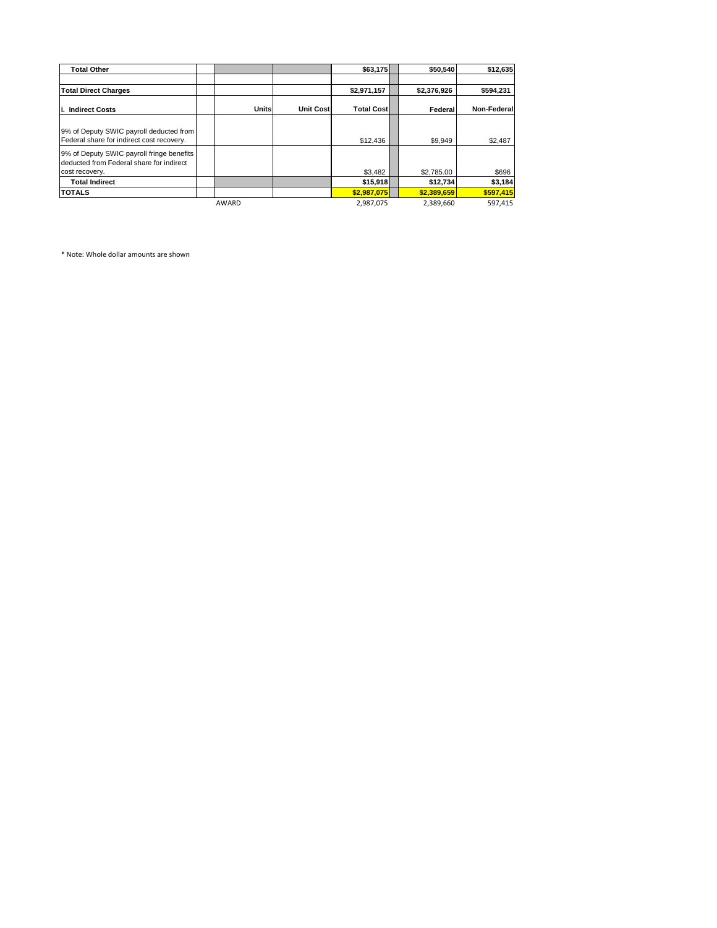| <b>Total Other</b>                                                                                      |              |                  | \$63,175          | \$50,540    | \$12,635    |
|---------------------------------------------------------------------------------------------------------|--------------|------------------|-------------------|-------------|-------------|
|                                                                                                         |              |                  |                   |             |             |
| <b>Total Direct Charges</b>                                                                             |              |                  | \$2,971,157       | \$2,376,926 | \$594,231   |
| <b>Indirect Costs</b><br>li.                                                                            | <b>Units</b> | <b>Unit Cost</b> | <b>Total Cost</b> | Federal     | Non-Federal |
| 9% of Deputy SWIC payroll deducted from<br>Federal share for indirect cost recovery.                    |              |                  | \$12,436          | \$9,949     | \$2,487     |
| 9% of Deputy SWIC payroll fringe benefits<br>deducted from Federal share for indirect<br>cost recovery. |              |                  | \$3,482           | \$2,785.00  | \$696       |
| <b>Total Indirect</b>                                                                                   |              |                  | \$15,918          | \$12,734    | \$3,184     |
| <b>TOTALS</b>                                                                                           |              |                  | \$2,987,075       | \$2,389,659 | \$597,415   |
|                                                                                                         | <b>AWARD</b> |                  | 2.987.075         | 2.389.660   | 597.415     |

\* Note: Whole dollar amounts are shown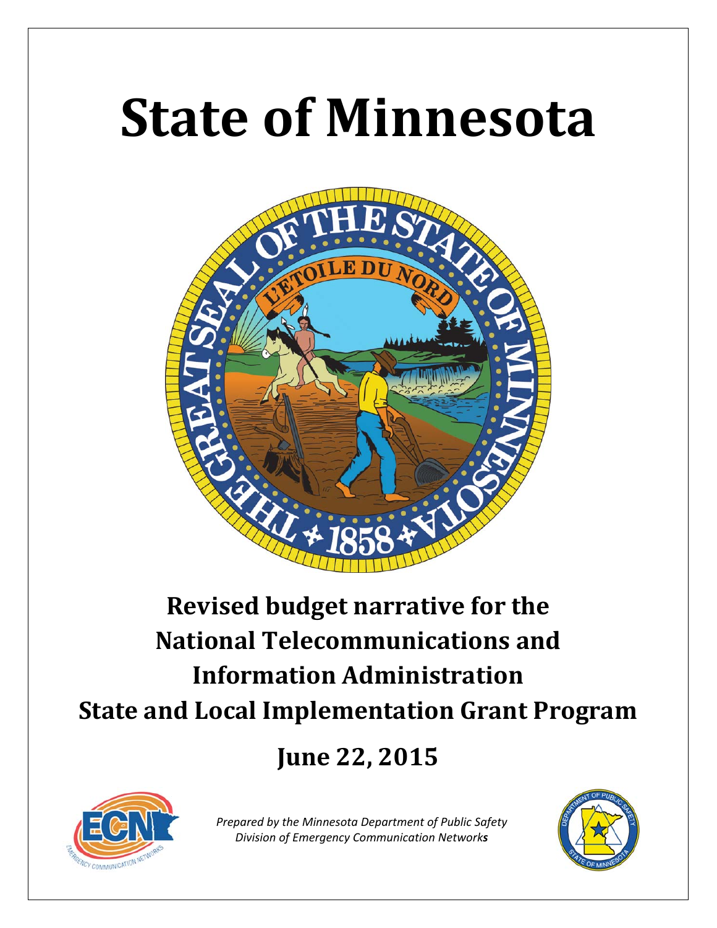# **State of Minnesota**



# **Revised budget narrative for the National Telecommunications and Information Administration State and Local Implementation Grant Program**

# **June 22, 2015**



*Prepared by the Minnesota Department of Public Safety Division of Emergency Communication Networks*

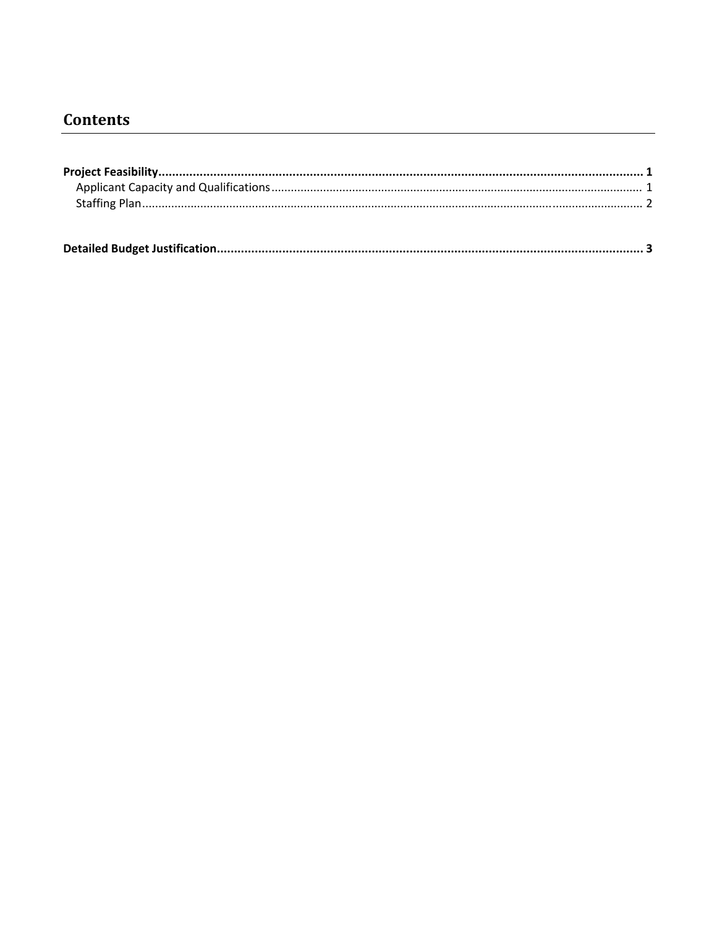# **Contents**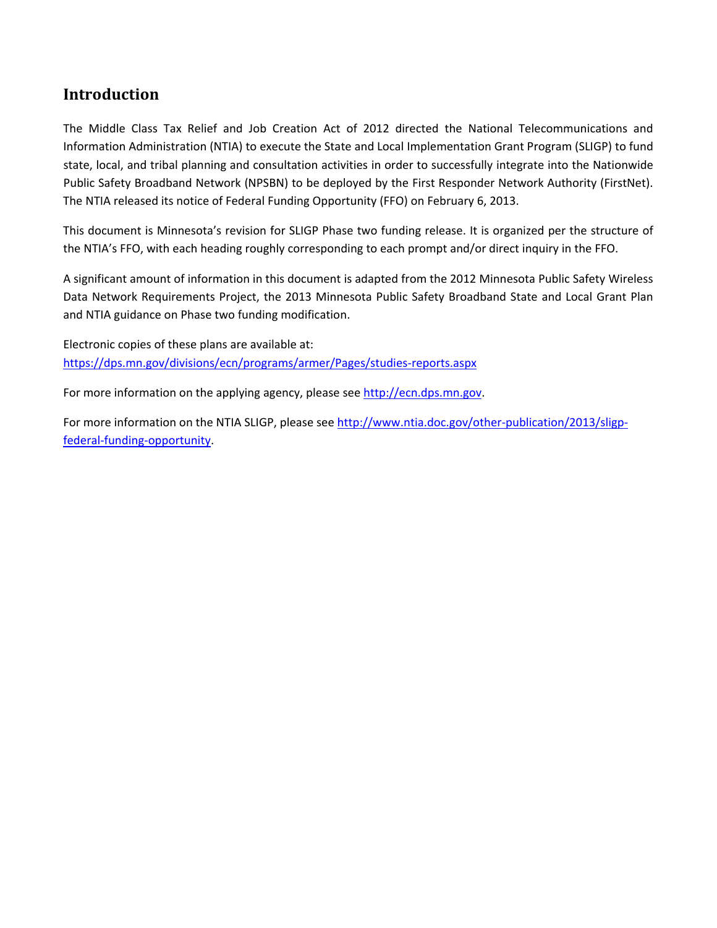### **Introduction**

The Middle Class Tax Relief and Job Creation Act of 2012 directed the National Telecommunications and Information Administration (NTIA) to execute the State and Local Implementation Grant Program (SLIGP) to fund state, local, and tribal planning and consultation activities in order to successfully integrate into the Nationwide Public Safety Broadband Network (NPSBN) to be deployed by the First Responder Network Authority (FirstNet). The NTIA released its notice of Federal Funding Opportunity (FFO) on February 6, 2013.

This document is Minnesota's revision for SLIGP Phase two funding release. It is organized per the structure of the NTIA's FFO, with each heading roughly corresponding to each prompt and/or direct inquiry in the FFO.

A significant amount of information in this document is adapted from the 2012 Minnesota Public Safety Wireless Data Network Requirements Project, the 2013 Minnesota Public Safety Broadband State and Local Grant Plan and NTIA guidance on Phase two funding modification.

Electronic copies of these plans are available at: https://dps.mn.gov/divisions/ecn/programs/armer/Pages/studies‐reports.aspx

For more information on the applying agency, please see http://ecn.dps.mn.gov.

For more information on the NTIA SLIGP, please see http://www.ntia.doc.gov/other-publication/2013/sligpfederal-funding-opportunity.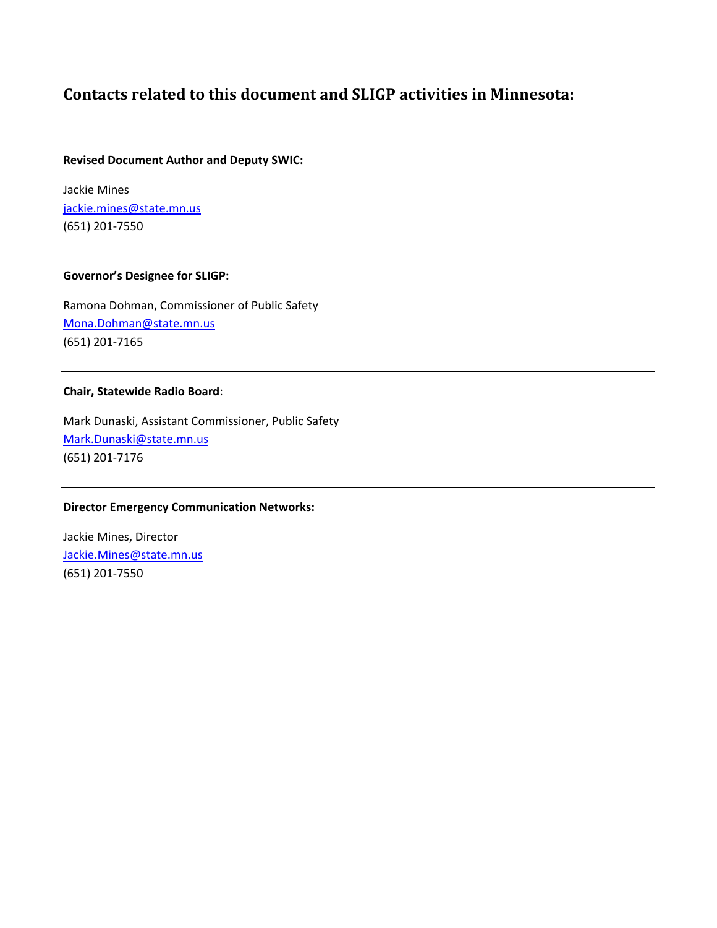### **Contacts related to this document and SLIGP activities in Minnesota:**

#### **Revised Document Author and Deputy SWIC:**

Jackie Mines jackie.mines@state.mn.us (651) 201‐7550

#### **Governor's Designee for SLIGP:**

Ramona Dohman, Commissioner of Public Safety Mona.Dohman@state.mn.us (651) 201‐7165

#### **Chair, Statewide Radio Board**:

Mark Dunaski, Assistant Commissioner, Public Safety Mark.Dunaski@state.mn.us (651) 201‐7176

#### **Director Emergency Communication Networks:**

Jackie Mines, Director Jackie.Mines@state.mn.us (651) 201‐7550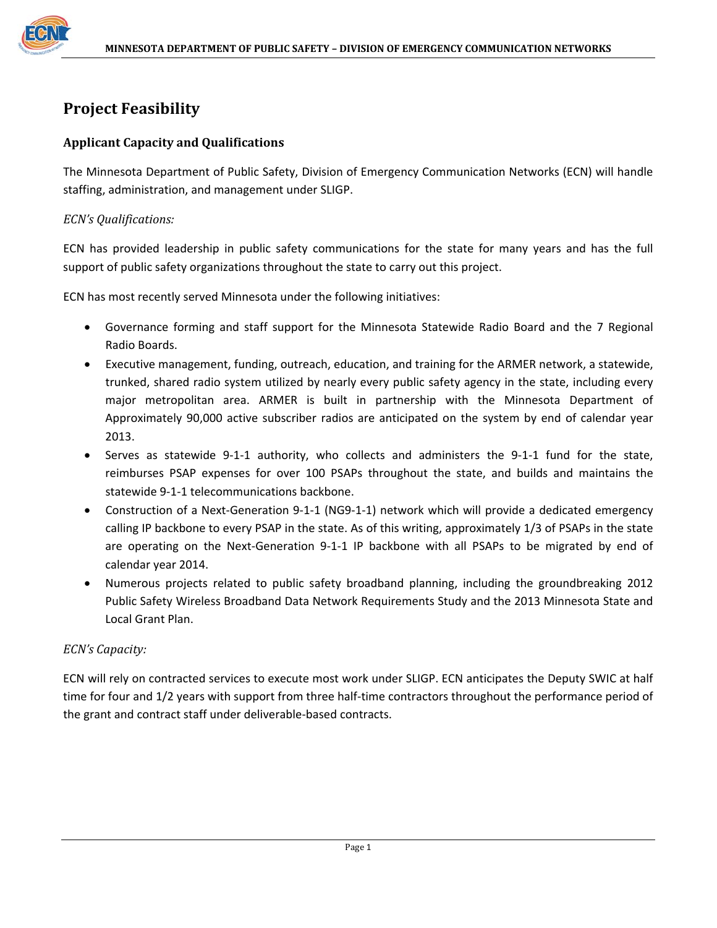

## **Project Feasibility**

#### **Applicant Capacity and Qualifications**

The Minnesota Department of Public Safety, Division of Emergency Communication Networks (ECN) will handle staffing, administration, and management under SLIGP.

#### *ECN's Qualifications:*

ECN has provided leadership in public safety communications for the state for many years and has the full support of public safety organizations throughout the state to carry out this project.

ECN has most recently served Minnesota under the following initiatives:

- Governance forming and staff support for the Minnesota Statewide Radio Board and the 7 Regional Radio Boards.
- Executive management, funding, outreach, education, and training for the ARMER network, a statewide, trunked, shared radio system utilized by nearly every public safety agency in the state, including every major metropolitan area. ARMER is built in partnership with the Minnesota Department of Approximately 90,000 active subscriber radios are anticipated on the system by end of calendar year 2013.
- Serves as statewide 9‐1‐1 authority, who collects and administers the 9‐1‐1 fund for the state, reimburses PSAP expenses for over 100 PSAPs throughout the state, and builds and maintains the statewide 9‐1‐1 telecommunications backbone.
- Construction of a Next‐Generation 9‐1‐1 (NG9‐1‐1) network which will provide a dedicated emergency calling IP backbone to every PSAP in the state. As of this writing, approximately 1/3 of PSAPs in the state are operating on the Next-Generation 9-1-1 IP backbone with all PSAPs to be migrated by end of calendar year 2014.
- Numerous projects related to public safety broadband planning, including the groundbreaking 2012 Public Safety Wireless Broadband Data Network Requirements Study and the 2013 Minnesota State and Local Grant Plan.

#### *ECN's Capacity:*

ECN will rely on contracted services to execute most work under SLIGP. ECN anticipates the Deputy SWIC at half time for four and 1/2 years with support from three half-time contractors throughout the performance period of the grant and contract staff under deliverable‐based contracts.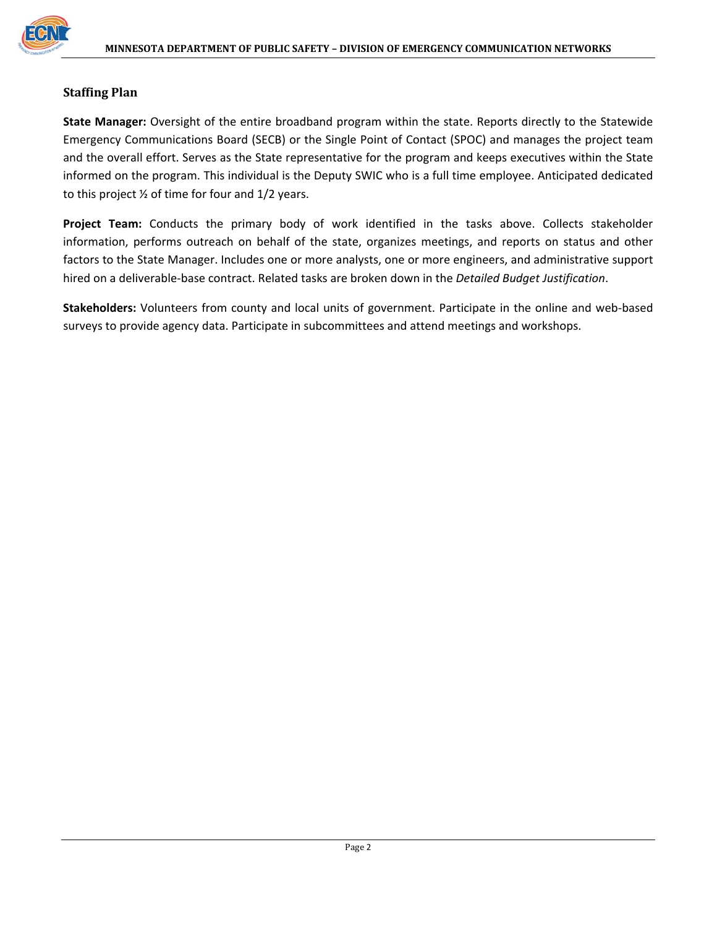

#### **Staffing Plan**

**State Manager:** Oversight of the entire broadband program within the state. Reports directly to the Statewide Emergency Communications Board (SECB) or the Single Point of Contact (SPOC) and manages the project team and the overall effort. Serves as the State representative for the program and keeps executives within the State informed on the program. This individual is the Deputy SWIC who is a full time employee. Anticipated dedicated to this project ½ of time for four and 1/2 years.

**Project Team:** Conducts the primary body of work identified in the tasks above. Collects stakeholder information, performs outreach on behalf of the state, organizes meetings, and reports on status and other factors to the State Manager. Includes one or more analysts, one or more engineers, and administrative support hired on a deliverable‐base contract. Related tasks are broken down in the *Detailed Budget Justification*.

**Stakeholders:** Volunteers from county and local units of government. Participate in the online and web‐based surveys to provide agency data. Participate in subcommittees and attend meetings and workshops.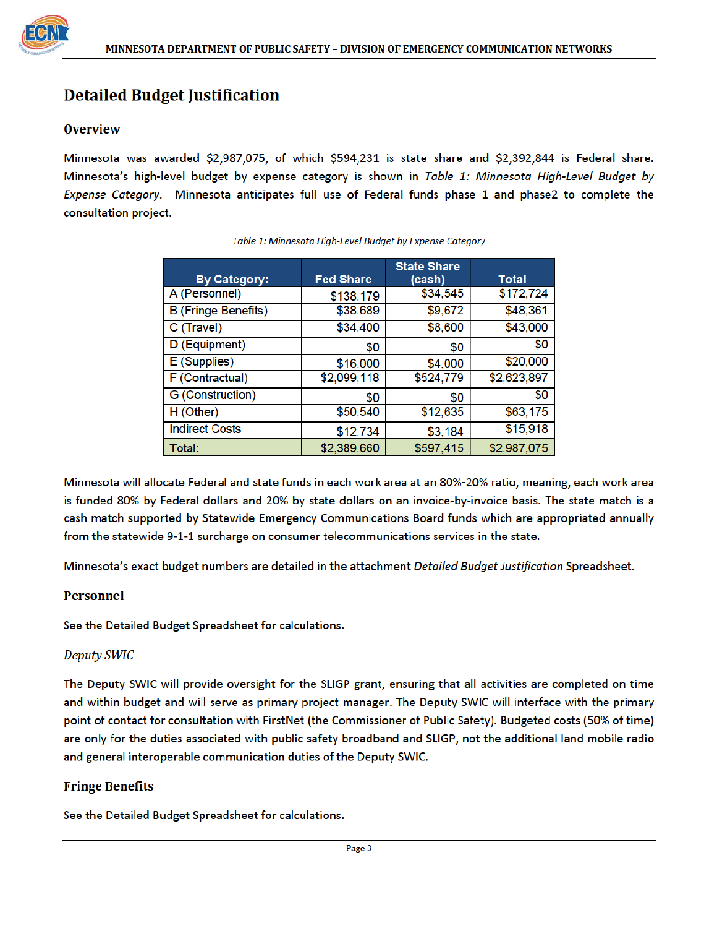# **Detailed Budget Justification**

#### **Overview**

Minnesota was awarded \$2,987,075, of which \$594,231 is state share and \$2,392,844 is Federal share. Minnesota's high-level budget by expense category is shown in Table 1: Minnesota High-Level Budget by Expense Category. Minnesota anticipates full use of Federal funds phase 1 and phase2 to complete the consultation project.

| <b>By Category:</b>        | <b>Fed Share</b> | <b>State Share</b><br>(cash) | Total       |
|----------------------------|------------------|------------------------------|-------------|
| A (Personnel)              | \$138,179        | \$34,545                     | \$172,724   |
| <b>B</b> (Fringe Benefits) | \$38,689         | \$9,672                      | \$48,361    |
| C (Travel)                 | \$34,400         | \$8,600                      | \$43,000    |
| D (Equipment)              | \$0              | \$0                          | \$0         |
| E (Supplies)               | \$16,000         | \$4,000                      | \$20,000    |
| F (Contractual)            | \$2,099,118      | \$524,779                    | \$2,623,897 |
| G (Construction)           | \$0              | \$0                          | \$0         |
| H (Other)                  | \$50,540         | \$12,635                     | \$63,175    |
| <b>Indirect Costs</b>      | \$12,734         | \$3,184                      | \$15,918    |
| Total:                     | \$2,389,660      | \$597,415                    | \$2,987,075 |

Table 1: Minnesota High-Level Budget by Expense Category

Minnesota will allocate Federal and state funds in each work area at an 80%-20% ratio; meaning, each work area is funded 80% by Federal dollars and 20% by state dollars on an invoice-by-invoice basis. The state match is a cash match supported by Statewide Emergency Communications Board funds which are appropriated annually from the statewide 9-1-1 surcharge on consumer telecommunications services in the state.

Minnesota's exact budget numbers are detailed in the attachment Detailed Budget Justification Spreadsheet.

#### **Personnel**

See the Detailed Budget Spreadsheet for calculations.

#### **Deputy SWIC**

The Deputy SWIC will provide oversight for the SLIGP grant, ensuring that all activities are completed on time and within budget and will serve as primary project manager. The Deputy SWIC will interface with the primary point of contact for consultation with FirstNet (the Commissioner of Public Safety). Budgeted costs (50% of time) are only for the duties associated with public safety broadband and SLIGP, not the additional land mobile radio and general interoperable communication duties of the Deputy SWIC.

#### **Fringe Benefits**

See the Detailed Budget Spreadsheet for calculations.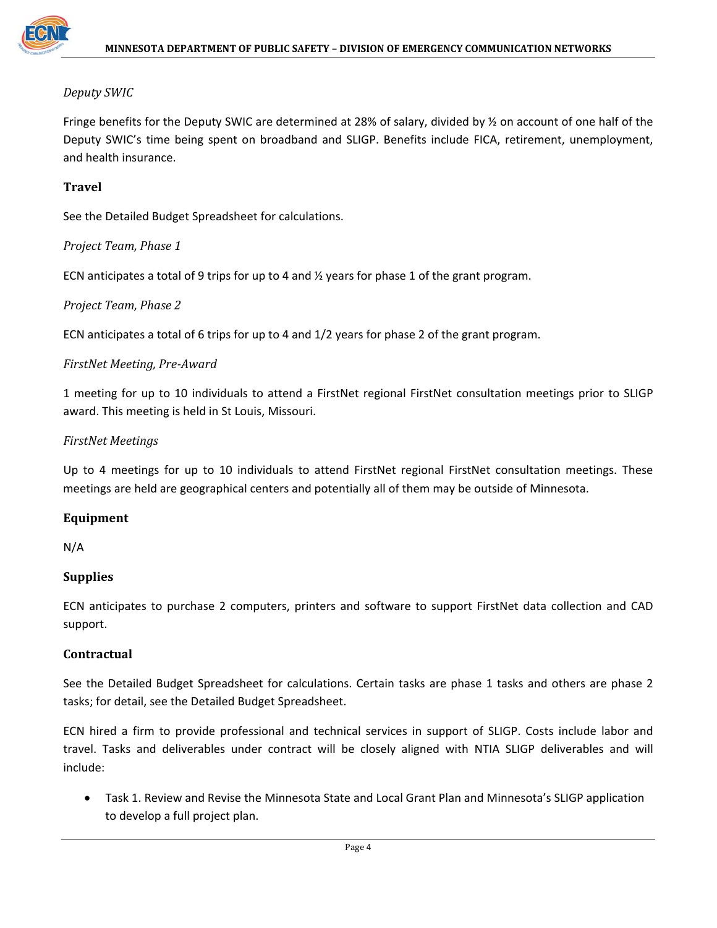

#### *Deputy SWIC*

Fringe benefits for the Deputy SWIC are determined at 28% of salary, divided by ½ on account of one half of the Deputy SWIC's time being spent on broadband and SLIGP. Benefits include FICA, retirement, unemployment, and health insurance.

#### **Travel**

See the Detailed Budget Spreadsheet for calculations.

#### *Project Team, Phase 1*

ECN anticipates a total of 9 trips for up to 4 and ½ years for phase 1 of the grant program.

#### *Project Team, Phase 2*

ECN anticipates a total of 6 trips for up to 4 and 1/2 years for phase 2 of the grant program.

#### *FirstNet Meeting, Pre‐Award*

1 meeting for up to 10 individuals to attend a FirstNet regional FirstNet consultation meetings prior to SLIGP award. This meeting is held in St Louis, Missouri.

#### *FirstNet Meetings*

Up to 4 meetings for up to 10 individuals to attend FirstNet regional FirstNet consultation meetings. These meetings are held are geographical centers and potentially all of them may be outside of Minnesota.

#### **Equipment**

N/A

#### **Supplies**

ECN anticipates to purchase 2 computers, printers and software to support FirstNet data collection and CAD support.

#### **Contractual**

See the Detailed Budget Spreadsheet for calculations. Certain tasks are phase 1 tasks and others are phase 2 tasks; for detail, see the Detailed Budget Spreadsheet.

ECN hired a firm to provide professional and technical services in support of SLIGP. Costs include labor and travel. Tasks and deliverables under contract will be closely aligned with NTIA SLIGP deliverables and will include:

 Task 1. Review and Revise the Minnesota State and Local Grant Plan and Minnesota's SLIGP application to develop a full project plan.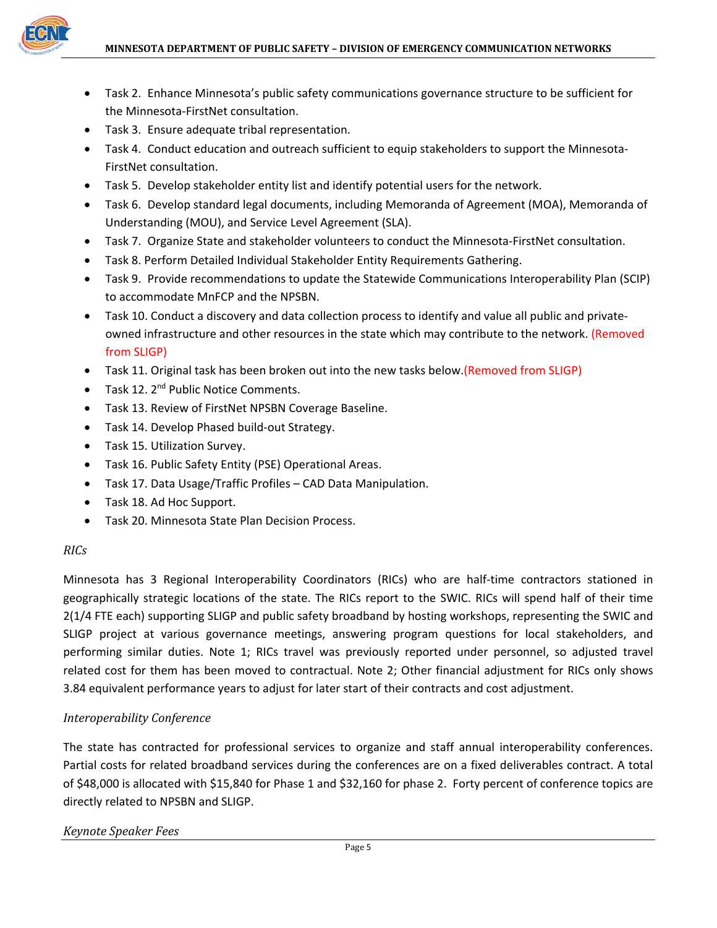

- Task 2. Enhance Minnesota's public safety communications governance structure to be sufficient for the Minnesota‐FirstNet consultation.
- Task 3. Ensure adequate tribal representation.
- Task 4. Conduct education and outreach sufficient to equip stakeholders to support the Minnesota-FirstNet consultation.
- Task 5. Develop stakeholder entity list and identify potential users for the network.
- Task 6. Develop standard legal documents, including Memoranda of Agreement (MOA), Memoranda of Understanding (MOU), and Service Level Agreement (SLA).
- Task 7. Organize State and stakeholder volunteers to conduct the Minnesota-FirstNet consultation.
- Task 8. Perform Detailed Individual Stakeholder Entity Requirements Gathering.
- Task 9. Provide recommendations to update the Statewide Communications Interoperability Plan (SCIP) to accommodate MnFCP and the NPSBN.
- Task 10. Conduct a discovery and data collection process to identify and value all public and private‐ owned infrastructure and other resources in the state which may contribute to the network. (Removed from SLIGP)
- Task 11. Original task has been broken out into the new tasks below.(Removed from SLIGP)
- $\bullet$  Task 12. 2<sup>nd</sup> Public Notice Comments.
- Task 13. Review of FirstNet NPSBN Coverage Baseline.
- Task 14. Develop Phased build-out Strategy.
- Task 15. Utilization Survey.
- Task 16. Public Safety Entity (PSE) Operational Areas.
- Task 17. Data Usage/Traffic Profiles CAD Data Manipulation.
- Task 18. Ad Hoc Support.
- Task 20. Minnesota State Plan Decision Process.

#### *RICs*

Minnesota has 3 Regional Interoperability Coordinators (RICs) who are half‐time contractors stationed in geographically strategic locations of the state. The RICs report to the SWIC. RICs will spend half of their time 2(1/4 FTE each) supporting SLIGP and public safety broadband by hosting workshops, representing the SWIC and SLIGP project at various governance meetings, answering program questions for local stakeholders, and performing similar duties. Note 1; RICs travel was previously reported under personnel, so adjusted travel related cost for them has been moved to contractual. Note 2; Other financial adjustment for RICs only shows 3.84 equivalent performance years to adjust for later start of their contracts and cost adjustment.

#### *Interoperability Conference*

The state has contracted for professional services to organize and staff annual interoperability conferences. Partial costs for related broadband services during the conferences are on a fixed deliverables contract. A total of \$48,000 is allocated with \$15,840 for Phase 1 and \$32,160 for phase 2. Forty percent of conference topics are directly related to NPSBN and SLIGP.

#### *Keynote Speaker Fees*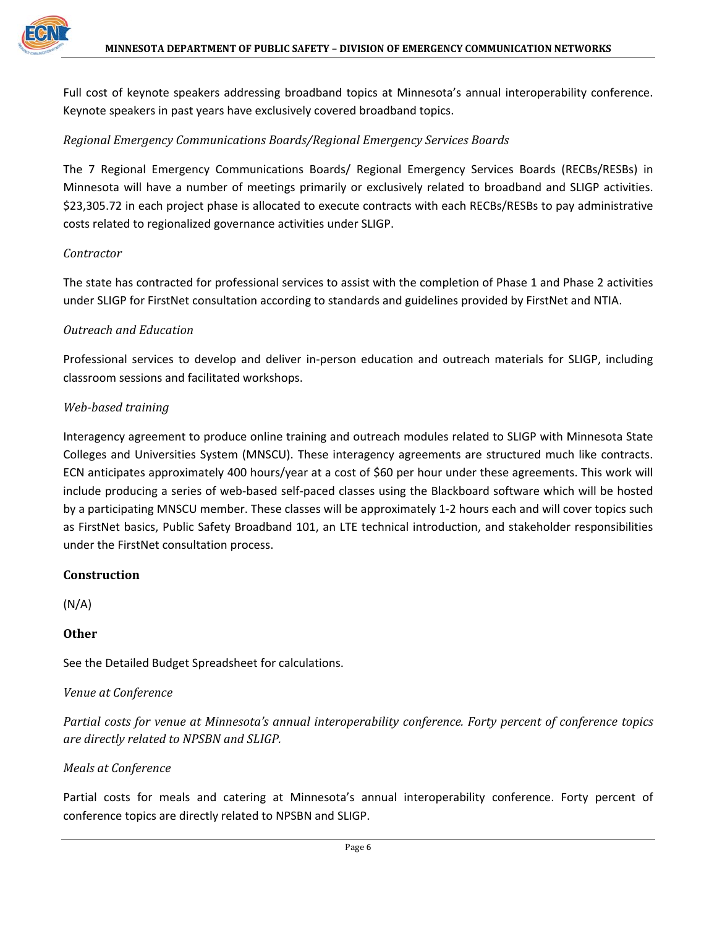Full cost of keynote speakers addressing broadband topics at Minnesota's annual interoperability conference. Keynote speakers in past years have exclusively covered broadband topics.

#### *Regional Emergency Communications Boards/Regional Emergency Services Boards*

The 7 Regional Emergency Communications Boards/ Regional Emergency Services Boards (RECBs/RESBs) in Minnesota will have a number of meetings primarily or exclusively related to broadband and SLIGP activities. \$23,305.72 in each project phase is allocated to execute contracts with each RECBs/RESBs to pay administrative costs related to regionalized governance activities under SLIGP.

#### *Contractor*

The state has contracted for professional services to assist with the completion of Phase 1 and Phase 2 activities under SLIGP for FirstNet consultation according to standards and guidelines provided by FirstNet and NTIA.

#### *Outreach and Education*

Professional services to develop and deliver in‐person education and outreach materials for SLIGP, including classroom sessions and facilitated workshops.

#### *Web‐based training*

Interagency agreement to produce online training and outreach modules related to SLIGP with Minnesota State Colleges and Universities System (MNSCU). These interagency agreements are structured much like contracts. ECN anticipates approximately 400 hours/year at a cost of \$60 per hour under these agreements. This work will include producing a series of web‐based self‐paced classes using the Blackboard software which will be hosted by a participating MNSCU member. These classes will be approximately 1‐2 hours each and will cover topics such as FirstNet basics, Public Safety Broadband 101, an LTE technical introduction, and stakeholder responsibilities under the FirstNet consultation process.

#### **Construction**

(N/A)

#### **Other**

See the Detailed Budget Spreadsheet for calculations.

#### *Venue at Conference*

*Partial costs for venue at Minnesota's annual interoperability conference. Forty percent of conference topics are directly related to NPSBN and SLIGP.*

#### *Meals at Conference*

Partial costs for meals and catering at Minnesota's annual interoperability conference. Forty percent of conference topics are directly related to NPSBN and SLIGP.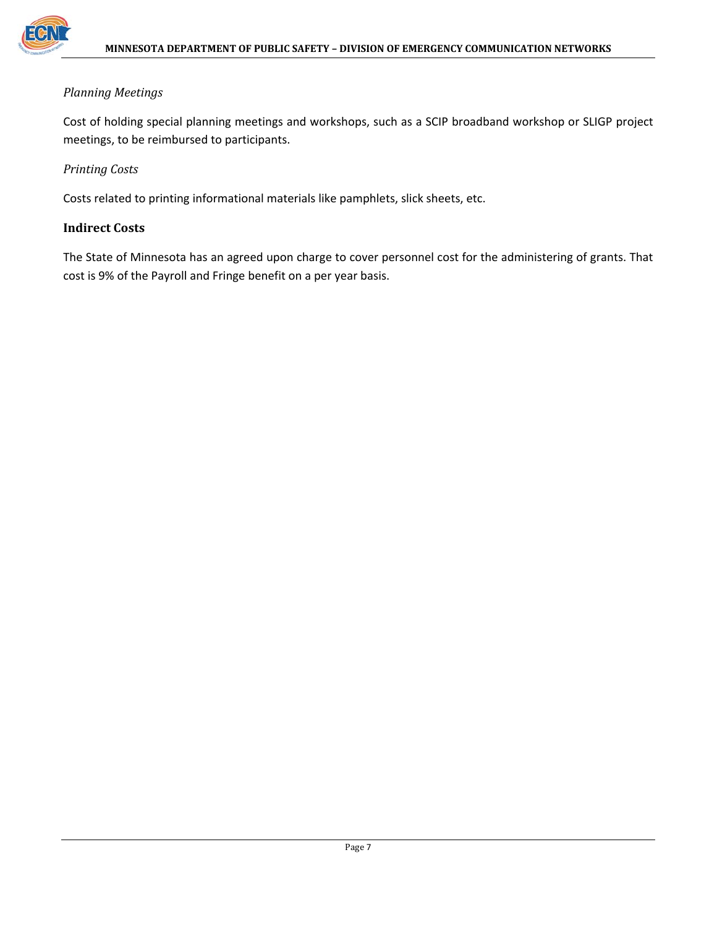

#### *Planning Meetings*

Cost of holding special planning meetings and workshops, such as a SCIP broadband workshop or SLIGP project meetings, to be reimbursed to participants.

#### *Printing Costs*

Costs related to printing informational materials like pamphlets, slick sheets, etc.

#### **Indirect Costs**

The State of Minnesota has an agreed upon charge to cover personnel cost for the administering of grants. That cost is 9% of the Payroll and Fringe benefit on a per year basis.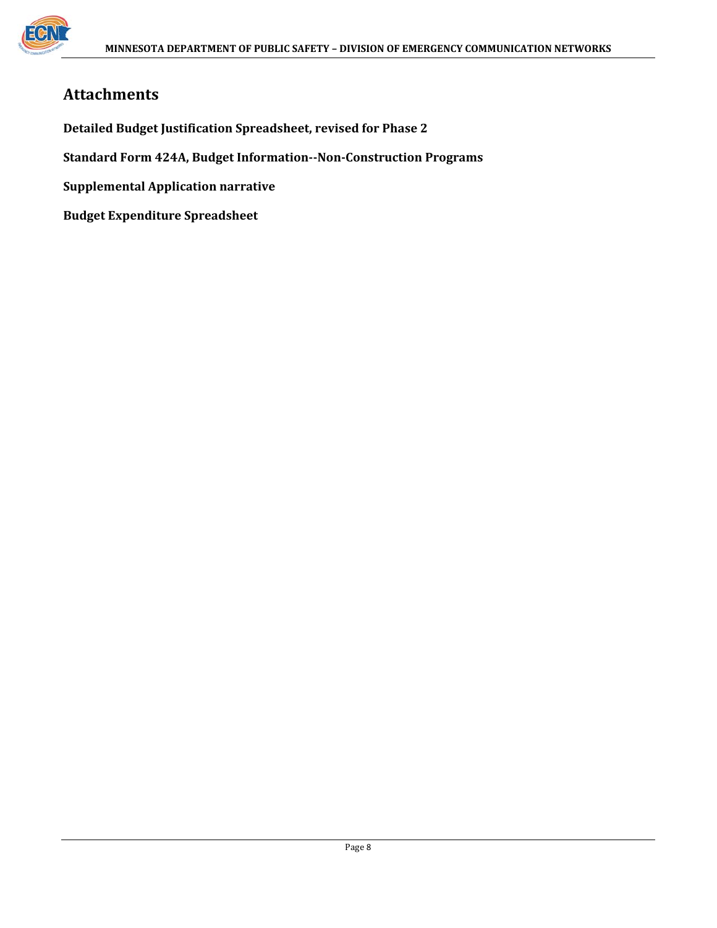

# **Attachments**

**Detailed Budget Justification Spreadsheet, revised for Phase 2**

**Standard Form 424A, Budget Information‐‐Non‐Construction Programs**

**Supplemental Application narrative**

**Budget Expenditure Spreadsheet**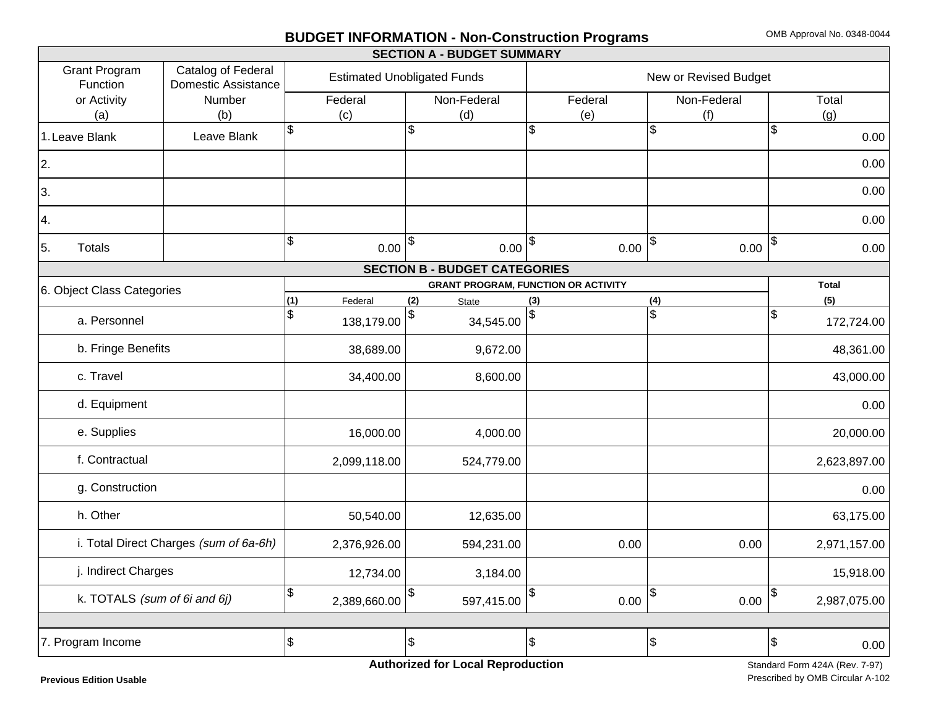#### **BUDGET INFORMATION - Non-Construction Programs** OMB Approval No. 0348-0044

|                                  |                                                  |                                    |              |            | <b>SECTION A - BUDGET SUMMARY</b>          |     |                       |               |             |               |              |
|----------------------------------|--------------------------------------------------|------------------------------------|--------------|------------|--------------------------------------------|-----|-----------------------|---------------|-------------|---------------|--------------|
| <b>Grant Program</b><br>Function | Catalog of Federal<br><b>Domestic Assistance</b> | <b>Estimated Unobligated Funds</b> |              |            |                                            |     | New or Revised Budget |               |             |               |              |
| or Activity                      | Number                                           |                                    | Federal      |            | Non-Federal                                |     | Federal               |               | Non-Federal |               | Total        |
| (a)                              | (b)                                              |                                    | (c)          |            | (d)                                        |     | (e)                   |               | (f)         |               | (g)          |
| 1. Leave Blank                   | Leave Blank                                      | \$                                 |              | Ŝ.         |                                            | \$  |                       | \$            |             | \$            | 0.00         |
| 2.                               |                                                  |                                    |              |            |                                            |     |                       |               |             |               | 0.00         |
| 3.                               |                                                  |                                    |              |            |                                            |     |                       |               |             |               | 0.00         |
| 4.                               |                                                  |                                    |              |            |                                            |     |                       |               |             |               | 0.00         |
| 5.<br><b>Totals</b>              |                                                  | $\boldsymbol{\mathsf{S}}$          | $0.00 ^{\$}$ |            | $0.00 ^{\$}$                               |     | 0.00                  | $\frac{1}{2}$ | 0.00        | $\sqrt{3}$    | 0.00         |
|                                  |                                                  |                                    |              |            | <b>SECTION B - BUDGET CATEGORIES</b>       |     |                       |               |             |               |              |
| 6. Object Class Categories       |                                                  |                                    |              |            | <b>GRANT PROGRAM, FUNCTION OR ACTIVITY</b> |     |                       |               |             |               | <b>Total</b> |
|                                  |                                                  | (1)                                | Federal      | (2)        | <b>State</b>                               | (3) |                       | (4)           |             |               | (5)          |
| a. Personnel                     |                                                  | \$                                 | 138,179.00   |            | 34,545.00                                  | \$  |                       | \$            |             | $\frac{1}{2}$ | 172,724.00   |
| b. Fringe Benefits               |                                                  |                                    | 38,689.00    |            | 9,672.00                                   |     |                       |               |             |               | 48,361.00    |
| c. Travel                        |                                                  |                                    | 34,400.00    |            | 8,600.00                                   |     |                       |               |             |               | 43,000.00    |
| d. Equipment                     |                                                  |                                    |              |            |                                            |     |                       |               |             |               | 0.00         |
| e. Supplies                      |                                                  |                                    | 16,000.00    |            | 4,000.00                                   |     |                       |               |             |               | 20,000.00    |
| f. Contractual                   |                                                  |                                    | 2,099,118.00 |            | 524,779.00                                 |     |                       |               |             |               | 2,623,897.00 |
| g. Construction                  |                                                  |                                    |              |            |                                            |     |                       |               |             |               | 0.00         |
| h. Other                         |                                                  |                                    | 50,540.00    |            | 12,635.00                                  |     |                       |               |             |               | 63,175.00    |
|                                  | i. Total Direct Charges (sum of 6a-6h)           |                                    | 2,376,926.00 |            | 594,231.00                                 |     | 0.00                  |               | 0.00        |               | 2,971,157.00 |
| j. Indirect Charges              |                                                  |                                    | 12,734.00    |            | 3,184.00                                   |     |                       |               |             |               | 15,918.00    |
| k. TOTALS (sum of 6i and 6j)     |                                                  | \$                                 | 2,389,660.00 | \$         | 597,415.00                                 | \$  | 0.00                  | \$            | 0.00        | \$            | 2,987,075.00 |
|                                  |                                                  |                                    |              |            |                                            |     |                       |               |             |               |              |
| 7. Program Income                |                                                  | $\boldsymbol{\theta}$              |              | $\sqrt{3}$ |                                            | \$  |                       | \$            |             | $\frac{1}{2}$ | 0.00         |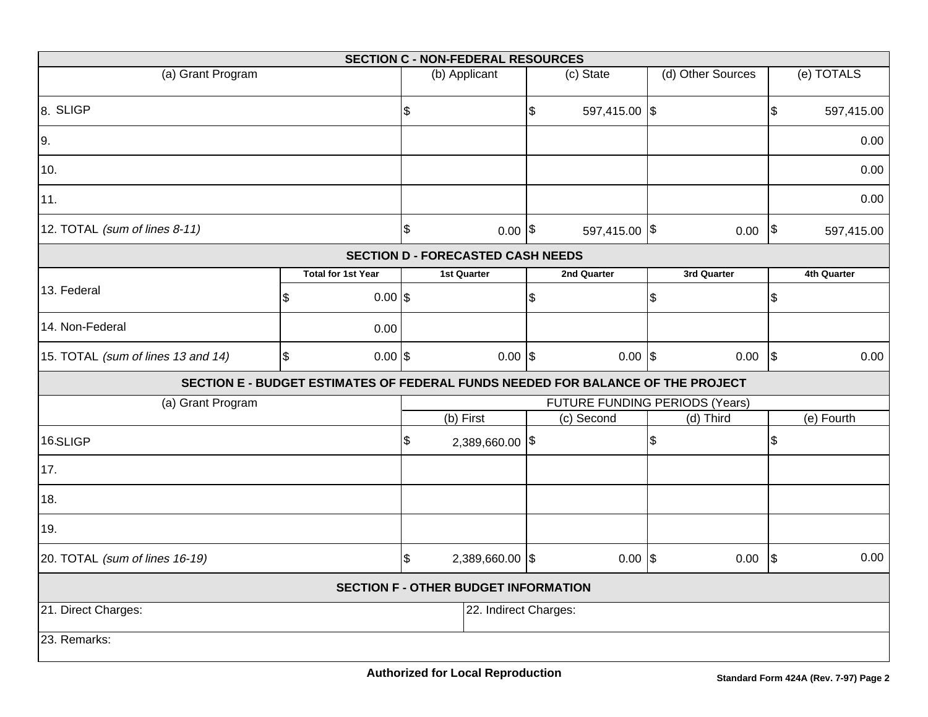|                                                                                 |                               |                           | <b>SECTION C - NON-FEDERAL RESOURCES</b> |                           |               |                                |  |                            |             |
|---------------------------------------------------------------------------------|-------------------------------|---------------------------|------------------------------------------|---------------------------|---------------|--------------------------------|--|----------------------------|-------------|
| (a) Grant Program                                                               |                               |                           | (b) Applicant                            |                           | (c) State     | (d) Other Sources              |  |                            | (e) TOTALS  |
| 8. SLIGP                                                                        |                               | $\boldsymbol{\mathsf{S}}$ |                                          | $\boldsymbol{\mathsf{S}}$ | 597,415.00 \$ |                                |  | $\mathfrak{S}$             | 597,415.00  |
| 9.                                                                              |                               |                           |                                          |                           |               |                                |  |                            | 0.00        |
| 10.                                                                             |                               |                           |                                          |                           |               |                                |  |                            | 0.00        |
| 11.                                                                             |                               |                           |                                          |                           |               |                                |  |                            | 0.00        |
| 12. TOTAL (sum of lines 8-11)                                                   |                               | $\boldsymbol{\mathsf{S}}$ | $0.00$ \$                                |                           | 597,415.00 \$ | 0.00                           |  | $\boldsymbol{\mathsf{\$}}$ | 597,415.00  |
|                                                                                 |                               |                           | <b>SECTION D - FORECASTED CASH NEEDS</b> |                           |               |                                |  |                            |             |
|                                                                                 | <b>Total for 1st Year</b>     |                           | 1st Quarter                              |                           | 2nd Quarter   | 3rd Quarter                    |  |                            | 4th Quarter |
| 13. Federal                                                                     | \$<br>$0.00$ \$               |                           |                                          | $\boldsymbol{\mathsf{S}}$ |               | \$                             |  | $\mathfrak{S}$             |             |
| 14. Non-Federal                                                                 | 0.00                          |                           |                                          |                           |               |                                |  |                            |             |
| 15. TOTAL (sum of lines 13 and 14)                                              | $$\mathfrak{S}$$<br>$0.00$ \$ |                           | $0.00$ \$                                |                           | $0.00$ \\$    | 0.00                           |  | $\sqrt{3}$                 | 0.00        |
| SECTION E - BUDGET ESTIMATES OF FEDERAL FUNDS NEEDED FOR BALANCE OF THE PROJECT |                               |                           |                                          |                           |               |                                |  |                            |             |
| (a) Grant Program                                                               |                               |                           |                                          |                           |               | FUTURE FUNDING PERIODS (Years) |  |                            |             |
|                                                                                 |                               |                           | (b) First                                |                           | (c) Second    | (d) Third                      |  |                            | (e) Fourth  |
| 16.SLIGP                                                                        |                               | $\boldsymbol{\theta}$     | 2,389,660.00 \$                          |                           |               | \$                             |  | \$                         |             |
| 17.                                                                             |                               |                           |                                          |                           |               |                                |  |                            |             |
| 18.                                                                             |                               |                           |                                          |                           |               |                                |  |                            |             |
| 19.                                                                             |                               |                           |                                          |                           |               |                                |  |                            |             |
| 20. TOTAL (sum of lines 16-19)                                                  |                               |                           | 2,389,660.00 \$                          |                           | $0.00$ \\$    | 0.00                           |  | $\sqrt{3}$                 | 0.00        |
| <b>SECTION F - OTHER BUDGET INFORMATION</b>                                     |                               |                           |                                          |                           |               |                                |  |                            |             |
| 21. Direct Charges:                                                             |                               |                           | 22. Indirect Charges:                    |                           |               |                                |  |                            |             |
| 23. Remarks:                                                                    |                               |                           |                                          |                           |               |                                |  |                            |             |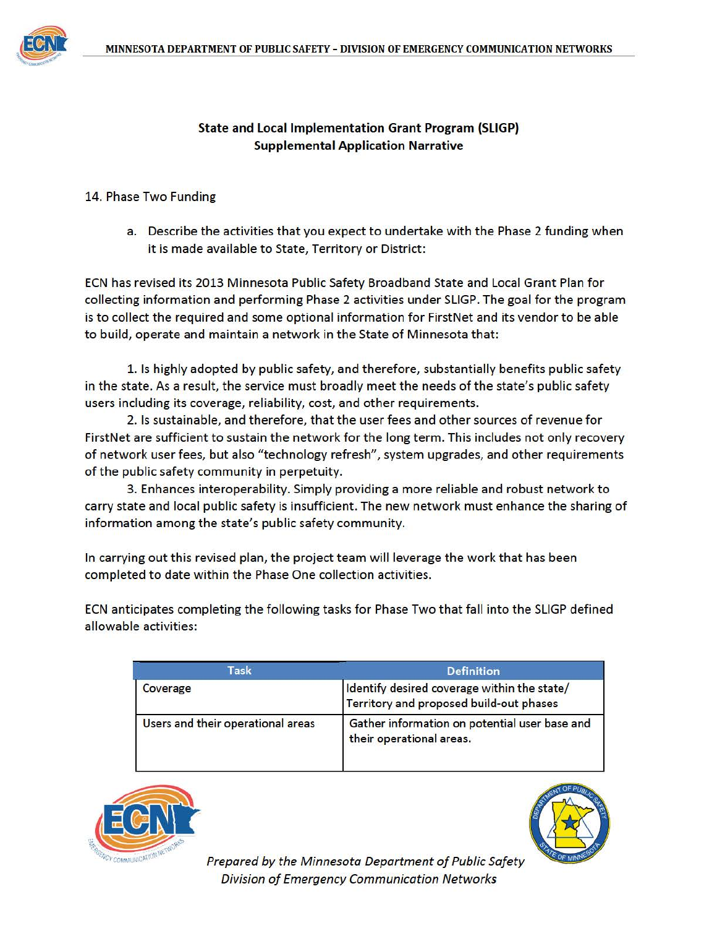

#### **State and Local Implementation Grant Program (SLIGP) Supplemental Application Narrative**

#### 14. Phase Two Funding

a. Describe the activities that you expect to undertake with the Phase 2 funding when it is made available to State, Territory or District:

ECN has revised its 2013 Minnesota Public Safety Broadband State and Local Grant Plan for collecting information and performing Phase 2 activities under SLIGP. The goal for the program is to collect the required and some optional information for FirstNet and its vendor to be able to build, operate and maintain a network in the State of Minnesota that:

1. Is highly adopted by public safety, and therefore, substantially benefits public safety in the state. As a result, the service must broadly meet the needs of the state's public safety users including its coverage, reliability, cost, and other requirements.

2. Is sustainable, and therefore, that the user fees and other sources of revenue for FirstNet are sufficient to sustain the network for the long term. This includes not only recovery of network user fees, but also "technology refresh", system upgrades, and other requirements of the public safety community in perpetuity.

3. Enhances interoperability. Simply providing a more reliable and robust network to carry state and local public safety is insufficient. The new network must enhance the sharing of information among the state's public safety community.

In carrying out this revised plan, the project team will leverage the work that has been completed to date within the Phase One collection activities.

ECN anticipates completing the following tasks for Phase Two that fall into the SLIGP defined allowable activities:

| Task                              | <b>Definition</b>                                                                      |
|-----------------------------------|----------------------------------------------------------------------------------------|
| Coverage                          | Identify desired coverage within the state/<br>Territory and proposed build-out phases |
| Users and their operational areas | Gather information on potential user base and<br>their operational areas.              |





Prepared by the Minnesota Department of Public Safety **Division of Emergency Communication Networks**